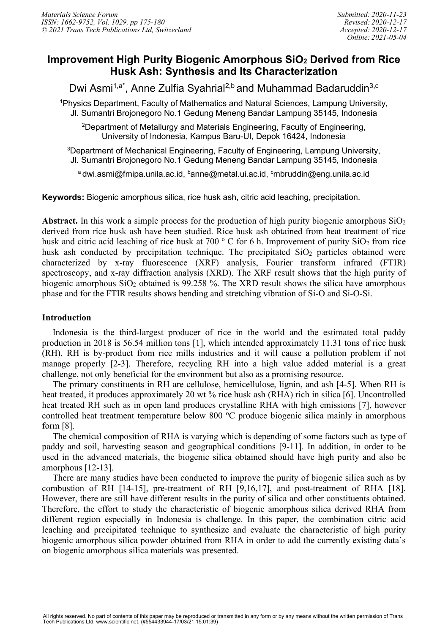# **Improvement High Purity Biogenic Amorphous SiO2 Derived from Rice Husk Ash: Synthesis and Its Characterization**

Dwi Asmi<sup>1,a\*</sup>, Anne Zulfia Syahrial<sup>2,b</sup> and Muhammad Badaruddin<sup>3,c</sup>

<sup>1</sup>Physics Department, Faculty of Mathematics and Natural Sciences, Lampung University, Jl. Sumantri Brojonegoro No.1 Gedung Meneng Bandar Lampung 35145, Indonesia

2 Department of Metallurgy and Materials Engineering, Faculty of Engineering, University of Indonesia, Kampus Baru-UI, Depok 16424, Indonesia

 ${}^{3}$ Department of Mechanical Engineering, Faculty of Engineering, Lampung University, Jl. Sumantri Brojonegoro No.1 Gedung Meneng Bandar Lampung 35145, Indonesia

<sup>a</sup> dwi.asmi@fmipa.unila.ac.id, <sup>b</sup>anne@metal.ui.ac.id, <sup>c</sup>mbruddin@eng.unila.ac.id

**Keywords:** Biogenic amorphous silica, rice husk ash, citric acid leaching, precipitation.

Abstract. In this work a simple process for the production of high purity biogenic amorphous SiO<sub>2</sub> derived from rice husk ash have been studied. Rice husk ash obtained from heat treatment of rice husk and citric acid leaching of rice husk at 700  $\degree$  C for 6 h. Improvement of purity SiO<sub>2</sub> from rice husk ash conducted by precipitation technique. The precipitated  $SiO<sub>2</sub>$  particles obtained were characterized by x-ray fluorescence (XRF) analysis, Fourier transform infrared (FTIR) spectroscopy, and x-ray diffraction analysis (XRD). The XRF result shows that the high purity of biogenic amorphous  $SiO<sub>2</sub>$  obtained is 99.258 %. The XRD result shows the silica have amorphous phase and for the FTIR results shows bending and stretching vibration of Si-O and Si-O-Si.

# **Introduction**

Indonesia is the third-largest producer of rice in the world and the estimated total paddy production in 2018 is 56.54 million tons [1], which intended approximately 11.31 tons of rice husk (RH). RH is by-product from rice mills industries and it will cause a pollution problem if not manage properly [2-3]. Therefore, recycling RH into a high value added material is a great challenge, not only beneficial for the environment but also as a promising resource.

The primary constituents in RH are cellulose, hemicellulose, lignin, and ash [4-5]. When RH is heat treated, it produces approximately 20 wt % rice husk ash (RHA) rich in silica [6]. Uncontrolled heat treated RH such as in open land produces crystalline RHA with high emissions [7], however controlled heat treatment temperature below 800 °C produce biogenic silica mainly in amorphous form [8].

The chemical composition of RHA is varying which is depending of some factors such as type of paddy and soil, harvesting season and geographical conditions [9-11]. In addition, in order to be used in the advanced materials, the biogenic silica obtained should have high purity and also be amorphous [12-13].

There are many studies have been conducted to improve the purity of biogenic silica such as by combustion of RH [14-15], pre-treatment of RH [9,16,17], and post-treatment of RHA [18]. However, there are still have different results in the purity of silica and other constituents obtained. Therefore, the effort to study the characteristic of biogenic amorphous silica derived RHA from different region especially in Indonesia is challenge. In this paper, the combination citric acid leaching and precipitated technique to synthesize and evaluate the characteristic of high purity biogenic amorphous silica powder obtained from RHA in order to add the currently existing data's on biogenic amorphous silica materials was presented.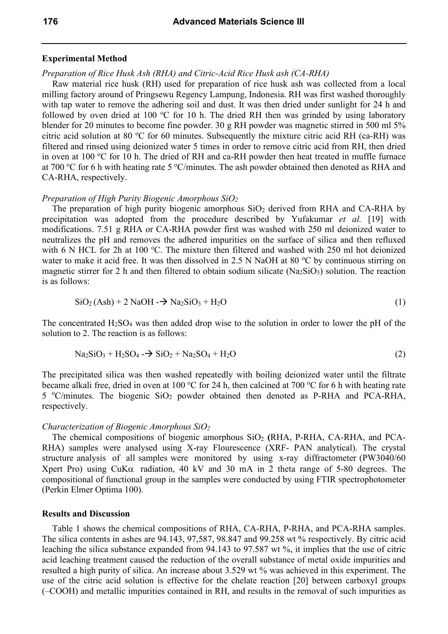# **Experimental Method**

# *Preparation of Rice Husk Ash (RHA) and Citric-Acid Rice Husk ash (CA-RHA)*

Raw material rice husk (RH) used for preparation of rice husk ash was collected from a local milling factory around of Pringsewu Regency Lampung, Indonesia. RH was first washed thoroughly with tap water to remove the adhering soil and dust. It was then dried under sunlight for 24 h and followed by oven dried at 100 °C for 10 h. The dried RH then was grinded by using laboratory blender for 20 minutes to become fine powder. 30 g RH powder was magnetic stirred in 500 ml 5% citric acid solution at 80 °C for 60 minutes. Subsequently the mixture citric acid RH (ca-RH) was filtered and rinsed using deionized water 5 times in order to remove citric acid from RH, then dried in oven at  $100^{\circ}$ C for 10 h. The dried of RH and ca-RH powder then heat treated in muffle furnace at 700 °C for 6 h with heating rate 5 °C/minutes. The ash powder obtained then denoted as RHA and CA-RHA, respectively.

# *Preparation of High Purity Biogenic Amorphous SiO2*

The preparation of high purity biogenic amorphous  $SiO<sub>2</sub>$  derived from RHA and CA-RHA by precipitation was adopted from the procedure described by Yufakumar *et al.* [19] with modifications. 7.51 g RHA or CA-RHA powder first was washed with 250 ml deionized water to neutralizes the pH and removes the adhered impurities on the surface of silica and then refluxed with 6 N HCL for 2h at 100 °C. The mixture then filtered and washed with 250 ml hot deionized water to make it acid free. It was then dissolved in 2.5 N NaOH at 80 °C by continuous stirring on magnetic stirrer for 2 h and then filtered to obtain sodium silicate ( $Na<sub>2</sub>SiO<sub>3</sub>$ ) solution. The reaction is as follows:

$$
SiO2(Ash) + 2 NaOH \rightarrow Na2SiO3 + H2O
$$
 (1)

The concentrated  $H_2SO_4$  was then added drop wise to the solution in order to lower the pH of the solution to 2. The reaction is as follows:

$$
Na2SiO3 + H2SO4 - \rightarrow SiO2 + Na2SO4 + H2O
$$
\n(2)

The precipitated silica was then washed repeatedly with boiling deionized water until the filtrate became alkali free, dried in oven at 100 °C for 24 h, then calcined at 700 °C for 6 h with heating rate 5 °C/minutes. The biogenic SiO<sub>2</sub> powder obtained then denoted as P-RHA and PCA-RHA, respectively.

#### *Characterization of Biogenic Amorphous SiO2*

The chemical compositions of biogenic amorphous SiO<sub>2</sub> (RHA, P-RHA, CA-RHA, and PCA-RHA) samples were analysed using X-ray Flourescence (XRF- PAN analytical). The crystal structure analysis of all samples were monitored by using x-ray diffractometer (PW3040/60 Xpert Pro) using CuKα radiation, 40 kV and 30 mA in 2 theta range of 5-80 degrees. The compositional of functional group in the samples were conducted by using FTIR spectrophotometer (Perkin Elmer Optima 100).

#### **Results and Discussion**

Table 1 shows the chemical compositions of RHA, CA-RHA, P-RHA, and PCA-RHA samples. The silica contents in ashes are 94.143, 97,587, 98.847 and 99.258 wt % respectively. By citric acid leaching the silica substance expanded from 94.143 to 97.587 wt %, it implies that the use of citric acid leaching treatment caused the reduction of the overall substance of metal oxide impurities and resulted a high purity of silica. An increase about 3.529 wt % was achieved in this experiment. The use of the citric acid solution is effective for the chelate reaction [20] between carboxyl groups (–COOH) and metallic impurities contained in RH, and results in the removal of such impurities as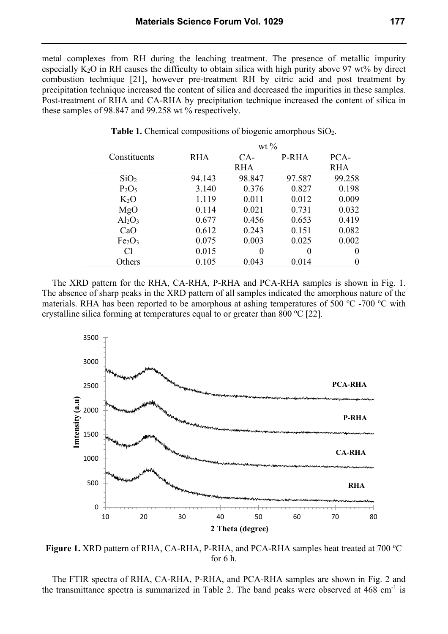metal complexes from RH during the leaching treatment. The presence of metallic impurity especially  $K_2O$  in RH causes the difficulty to obtain silica with high purity above 97 wt% by direct combustion technique [21], however pre-treatment RH by citric acid and post treatment by precipitation technique increased the content of silica and decreased the impurities in these samples. Post-treatment of RHA and CA-RHA by precipitation technique increased the content of silica in these samples of 98.847 and 99.258 wt % respectively.

|                                | wt $\%$    |            |        |        |  |  |
|--------------------------------|------------|------------|--------|--------|--|--|
| Constituents                   | <b>RHA</b> | $CA-$      | P-RHA  | PCA-   |  |  |
|                                |            | <b>RHA</b> |        |        |  |  |
| SiO <sub>2</sub>               | 94.143     | 98.847     | 97.587 | 99.258 |  |  |
| P <sub>2</sub> O <sub>5</sub>  | 3.140      | 0.376      | 0.827  | 0.198  |  |  |
| K <sub>2</sub> O               | 1.119      | 0.011      | 0.012  | 0.009  |  |  |
| MgO                            | 0.114      | 0.021      | 0.731  | 0.032  |  |  |
| $Al_2O_3$                      | 0.677      | 0.456      | 0.653  | 0.419  |  |  |
| CaO                            | 0.612      | 0.243      | 0.151  | 0.082  |  |  |
| Fe <sub>2</sub> O <sub>3</sub> | 0.075      | 0.003      | 0.025  | 0.002  |  |  |
| C <sub>1</sub>                 | 0.015      | 0          | 0      | 0      |  |  |
| Others                         | 0.105      | 0.043      | 0.014  |        |  |  |

**Table 1.** Chemical compositions of biogenic amorphous SiO2.

The XRD pattern for the RHA, CA-RHA, P-RHA and PCA-RHA samples is shown in Fig. 1. The absence of sharp peaks in the XRD pattern of all samples indicated the amorphous nature of the materials. RHA has been reported to be amorphous at ashing temperatures of 500  $^{\circ}$ C -700  $^{\circ}$ C with crystalline silica forming at temperatures equal to or greater than  $800\text{ °C}$  [22].



Figure 1. XRD pattern of RHA, CA-RHA, P-RHA, and PCA-RHA samples heat treated at 700 °C for 6 h.

The FTIR spectra of RHA, CA-RHA, P-RHA, and PCA-RHA samples are shown in Fig. 2 and the transmittance spectra is summarized in Table 2. The band peaks were observed at  $468 \text{ cm}^{-1}$  is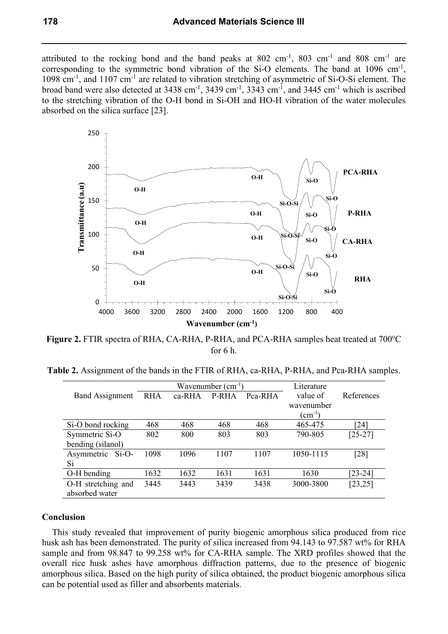attributed to the rocking bond and the band peaks at  $802 \text{ cm}^{-1}$ ,  $803 \text{ cm}^{-1}$  and  $808 \text{ cm}^{-1}$  are corresponding to the symmetric bond vibration of the Si-O elements. The band at  $1096 \text{ cm}^{-1}$ , 1098 cm<sup>-1</sup>, and 1107 cm<sup>-1</sup> are related to vibration stretching of asymmetric of Si-O-Si element. The broad band were also detected at  $3438 \text{ cm}^{-1}$ ,  $3439 \text{ cm}^{-1}$ ,  $3343 \text{ cm}^{-1}$ , and  $3445 \text{ cm}^{-1}$  which is ascribed to the stretching vibration of the O-H bond in Si-OH and HO-H vibration of the water molecules absorbed on the silica surface [23].



Figure 2. FTIR spectra of RHA, CA-RHA, P-RHA, and PCA-RHA samples heat treated at 700°C for 6 h.

**Table 2.** Assignment of the bands in the FTIR of RHA, ca-RHA, P-RHA, and Pca-RHA samples.

|                        | Wavenumber $(cm^{-1})$ |          |       |         | Literature      |            |
|------------------------|------------------------|----------|-------|---------|-----------------|------------|
| <b>Band Assignment</b> | <b>RHA</b>             | $ca-RHA$ | P-RHA | Pca-RHA | value of        | References |
|                        |                        |          |       |         | wavenumber      |            |
|                        |                        |          |       |         | $\rm (cm^{-1})$ |            |
| Si-O bond rocking      | 468                    | 468      | 468   | 468     | 465-475         | [24]       |
| Symmetric Si-O         | 802                    | 800      | 803   | 803     | 790-805         | $[25-27]$  |
| bending (silanol)      |                        |          |       |         |                 |            |
| Asymmetric<br>$Si-O-$  | 1098                   | 1096     | 1107  | 1107    | 1050-1115       | [28]       |
| Si                     |                        |          |       |         |                 |            |
| O-H bending            | 1632                   | 1632     | 1631  | 1631    | 1630            | $[23-24]$  |
| O-H stretching and     | 3445                   | 3443     | 3439  | 3438    | 3000-3800       | [23, 25]   |
| absorbed water         |                        |          |       |         |                 |            |

# **Conclusion**

This study revealed that improvement of purity biogenic amorphous silica produced from rice husk ash has been demonstrated. The purity of silica increased from 94.143 to 97.587 wt% for RHA sample and from 98.847 to 99.258 wt% for CA-RHA sample. The XRD profiles showed that the overall rice husk ashes have amorphous diffraction patterns, due to the presence of biogenic amorphous silica. Based on the high purity of silica obtained, the product biogenic amorphous silica can be potential used as filler and absorbents materials.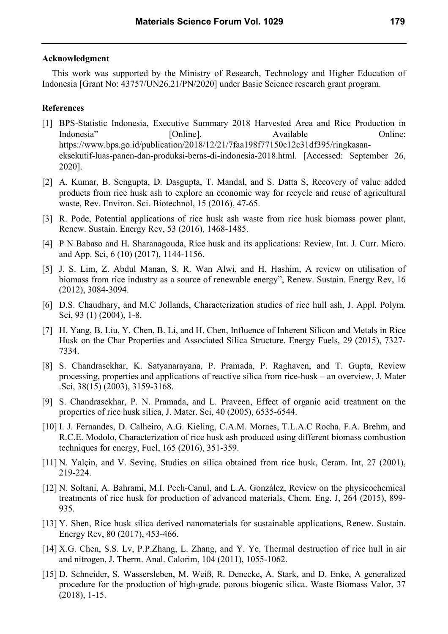#### **Acknowledgment**

This work was supported by the Ministry of Research, Technology and Higher Education of Indonesia [Grant No: 43757/UN26.21/PN/2020] under Basic Science research grant program.

# **References**

- [1] BPS-Statistic Indonesia, Executive Summary 2018 Harvested Area and Rice Production in Indonesia" [Online]. Available Online: https://www.bps.go.id/publication/2018/12/21/7faa198f77150c12c31df395/ringkasaneksekutif-luas-panen-dan-produksi-beras-di-indonesia-2018.html. [Accessed: September 26, 2020].
- [2] A. Kumar, B. Sengupta, D. Dasgupta, T. Mandal, and S. Datta S, Recovery of value added products from rice husk ash to explore an economic way for recycle and reuse of agricultural waste, Rev. Environ. Sci. Biotechnol, 15 (2016), 47-65.
- [3] R. Pode, Potential applications of rice husk ash waste from rice husk biomass power plant, Renew. Sustain. Energy Rev, 53 (2016), 1468-1485.
- [4] P N Babaso and H. Sharanagouda, Rice husk and its applications: Review, Int. J. Curr. Micro. and App. Sci, 6 (10) (2017), 1144-1156.
- [5] J. S. Lim, Z. Abdul Manan, S. R. Wan Alwi, and H. Hashim, A review on utilisation of biomass from rice industry as a source of renewable energy", Renew. Sustain. Energy Rev, 16 (2012), 3084-3094.
- [6] D.S. Chaudhary, and M.C Jollands, Characterization studies of rice hull ash, J. Appl. Polym. Sci, 93 (1) (2004), 1-8.
- [7] H. Yang, B. Liu, Y. Chen, B. Li, and H. Chen, Influence of Inherent Silicon and Metals in Rice Husk on the Char Properties and Associated Silica Structure. Energy Fuels, 29 (2015), 7327- 7334.
- [8] S. Chandrasekhar, K. Satyanarayana, P. Pramada, P. Raghaven, and T. Gupta, Review processing, properties and applications of reactive silica from rice-husk – an overview, J. Mater .Sci, 38(15) (2003), 3159-3168.
- [9] S. Chandrasekhar, P. N. Pramada, and L. Praveen, Effect of organic acid treatment on the properties of rice husk silica, J. Mater. Sci, 40 (2005), 6535-6544.
- [10] I. J. Fernandes, D. Calheiro, A.G. Kieling, C.A.M. Moraes, T.L.A.C Rocha, F.A. Brehm, and R.C.E. Modolo, Characterization of rice husk ash produced using different biomass combustion techniques for energy, Fuel, 165 (2016), 351-359.
- [11] N. Yalçin, and V. Sevinç, Studies on silica obtained from rice husk, Ceram. Int, 27 (2001), 219-224.
- [12] N. Soltani, A. Bahrami, M.I. Pech-Canul, and L.A. González, Review on the physicochemical treatments of rice husk for production of advanced materials, Chem. Eng. J, 264 (2015), 899- 935.
- [13] Y. Shen, Rice husk silica derived nanomaterials for sustainable applications, Renew. Sustain. Energy Rev, 80 (2017), 453-466.
- [14] X.G. Chen, S.S. Lv, P.P.Zhang, L. Zhang, and Y. Ye, Thermal destruction of rice hull in air and nitrogen, J. Therm. Anal. Calorim, 104 (2011), 1055-1062.
- [15] D. Schneider, S. Wassersleben, M. Weiß, R. Denecke, A. Stark, and D. Enke, A generalized procedure for the production of high-grade, porous biogenic silica. Waste Biomass Valor, 37 (2018), 1-15.